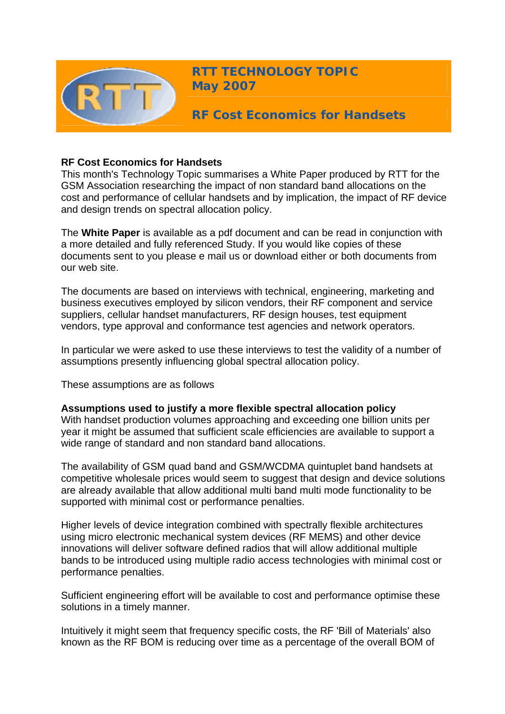

**RTT TECHNOLOGY TOPIC May 2007**

**RF Cost Economics for Handsets** 

# **RF Cost Economics for Handsets**

This month's Technology Topic summarises a White Paper produced by RTT for the GSM Association researching the impact of non standard band allocations on the cost and performance of cellular handsets and by implication, the impact of RF device and design trends on spectral allocation policy.

The **White Paper** is available as a pdf document and can be read in conjunction with a more detailed and fully referenced Study. If you would like copies of these documents sent to you please e mail us or download either or both documents from our web site.

The documents are based on interviews with technical, engineering, marketing and business executives employed by silicon vendors, their RF component and service suppliers, cellular handset manufacturers, RF design houses, test equipment vendors, type approval and conformance test agencies and network operators.

In particular we were asked to use these interviews to test the validity of a number of assumptions presently influencing global spectral allocation policy.

These assumptions are as follows

# **Assumptions used to justify a more flexible spectral allocation policy**

With handset production volumes approaching and exceeding one billion units per year it might be assumed that sufficient scale efficiencies are available to support a wide range of standard and non standard band allocations.

The availability of GSM quad band and GSM/WCDMA quintuplet band handsets at competitive wholesale prices would seem to suggest that design and device solutions are already available that allow additional multi band multi mode functionality to be supported with minimal cost or performance penalties.

Higher levels of device integration combined with spectrally flexible architectures using micro electronic mechanical system devices (RF MEMS) and other device innovations will deliver software defined radios that will allow additional multiple bands to be introduced using multiple radio access technologies with minimal cost or performance penalties.

Sufficient engineering effort will be available to cost and performance optimise these solutions in a timely manner.

Intuitively it might seem that frequency specific costs, the RF 'Bill of Materials' also known as the RF BOM is reducing over time as a percentage of the overall BOM of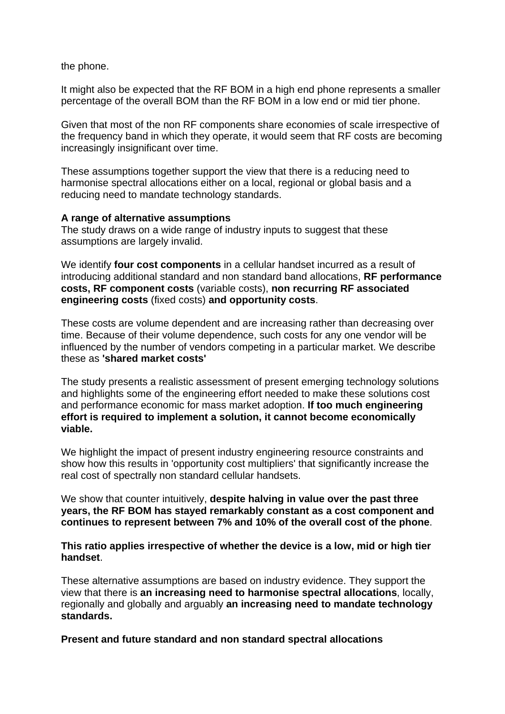the phone.

It might also be expected that the RF BOM in a high end phone represents a smaller percentage of the overall BOM than the RF BOM in a low end or mid tier phone.

Given that most of the non RF components share economies of scale irrespective of the frequency band in which they operate, it would seem that RF costs are becoming increasingly insignificant over time.

These assumptions together support the view that there is a reducing need to harmonise spectral allocations either on a local, regional or global basis and a reducing need to mandate technology standards.

### **A range of alternative assumptions**

The study draws on a wide range of industry inputs to suggest that these assumptions are largely invalid.

We identify **four cost components** in a cellular handset incurred as a result of introducing additional standard and non standard band allocations, **RF performance costs, RF component costs** (variable costs), **non recurring RF associated engineering costs** (fixed costs) **and opportunity costs**.

These costs are volume dependent and are increasing rather than decreasing over time. Because of their volume dependence, such costs for any one vendor will be influenced by the number of vendors competing in a particular market. We describe these as **'shared market costs'**

The study presents a realistic assessment of present emerging technology solutions and highlights some of the engineering effort needed to make these solutions cost and performance economic for mass market adoption. **If too much engineering effort is required to implement a solution, it cannot become economically viable.**

We highlight the impact of present industry engineering resource constraints and show how this results in 'opportunity cost multipliers' that significantly increase the real cost of spectrally non standard cellular handsets.

We show that counter intuitively, **despite halving in value over the past three years, the RF BOM has stayed remarkably constant as a cost component and continues to represent between 7% and 10% of the overall cost of the phone**.

**This ratio applies irrespective of whether the device is a low, mid or high tier handset**.

These alternative assumptions are based on industry evidence. They support the view that there is **an increasing need to harmonise spectral allocations**, locally, regionally and globally and arguably **an increasing need to mandate technology standards.**

**Present and future standard and non standard spectral allocations**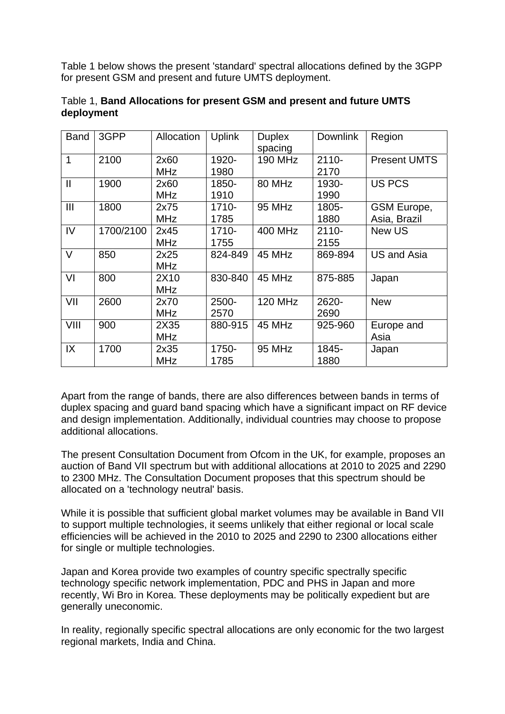Table 1 below shows the present 'standard' spectral allocations defined by the 3GPP for present GSM and present and future UMTS deployment.

| <b>Band</b>  | 3GPP      | Allocation         | <b>Uplink</b>    | <b>Duplex</b><br>spacing | <b>Downlink</b>  | Region                      |
|--------------|-----------|--------------------|------------------|--------------------------|------------------|-----------------------------|
| 1            | 2100      | 2x60<br><b>MHz</b> | 1920-<br>1980    | <b>190 MHz</b>           | $2110 -$<br>2170 | <b>Present UMTS</b>         |
| $\mathbf{I}$ | 1900      | 2x60<br><b>MHz</b> | 1850-<br>1910    | 80 MHz                   | 1930-<br>1990    | <b>US PCS</b>               |
| Ш            | 1800      | 2x75<br><b>MHz</b> | $1710 -$<br>1785 | 95 MHz                   | 1805-<br>1880    | GSM Europe,<br>Asia, Brazil |
| IV           | 1700/2100 | 2x45<br><b>MHz</b> | 1710-<br>1755    | <b>400 MHz</b>           | $2110 -$<br>2155 | New US                      |
| $\vee$       | 850       | 2x25<br><b>MHz</b> | 824-849          | 45 MHz                   | 869-894          | <b>US and Asia</b>          |
| VI           | 800       | 2X10<br><b>MHz</b> | 830-840          | 45 MHz                   | 875-885          | Japan                       |
| VII          | 2600      | 2x70<br><b>MHz</b> | 2500-<br>2570    | <b>120 MHz</b>           | 2620-<br>2690    | <b>New</b>                  |
| VIII         | 900       | 2X35<br><b>MHz</b> | 880-915          | 45 MHz                   | 925-960          | Europe and<br>Asia          |
| IX           | 1700      | 2x35<br><b>MHz</b> | 1750-<br>1785    | 95 MHz                   | 1845-<br>1880    | Japan                       |

# Table 1, **Band Allocations for present GSM and present and future UMTS deployment**

Apart from the range of bands, there are also differences between bands in terms of duplex spacing and guard band spacing which have a significant impact on RF device and design implementation. Additionally, individual countries may choose to propose additional allocations.

The present Consultation Document from Ofcom in the UK, for example, proposes an auction of Band VII spectrum but with additional allocations at 2010 to 2025 and 2290 to 2300 MHz. The Consultation Document proposes that this spectrum should be allocated on a 'technology neutral' basis.

While it is possible that sufficient global market volumes may be available in Band VII to support multiple technologies, it seems unlikely that either regional or local scale efficiencies will be achieved in the 2010 to 2025 and 2290 to 2300 allocations either for single or multiple technologies.

Japan and Korea provide two examples of country specific spectrally specific technology specific network implementation, PDC and PHS in Japan and more recently, Wi Bro in Korea. These deployments may be politically expedient but are generally uneconomic.

In reality, regionally specific spectral allocations are only economic for the two largest regional markets, India and China.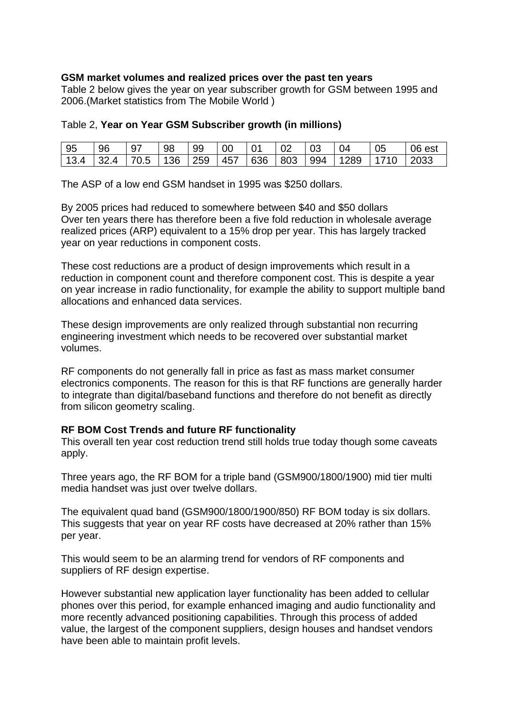# **GSM market volumes and realized prices over the past ten years**

Table 2 below gives the year on year subscriber growth for GSM between 1995 and 2006.(Market statistics from The Mobile World )

### Table 2, **Year on Year GSM Subscriber growth (in millions)**

| $\mid$ 95 | 96 | 97 | 98 | -99 | $\overline{00}$ | $\overline{01}$ | $\overline{0}$ | l 04                                                                        | 05 | 06 est |
|-----------|----|----|----|-----|-----------------|-----------------|----------------|-----------------------------------------------------------------------------|----|--------|
|           |    |    |    |     |                 |                 |                | 13.4   32.4   70.5   136   259   457   636   803   994   1289   1710   2033 |    |        |

The ASP of a low end GSM handset in 1995 was \$250 dollars.

By 2005 prices had reduced to somewhere between \$40 and \$50 dollars Over ten years there has therefore been a five fold reduction in wholesale average realized prices (ARP) equivalent to a 15% drop per year. This has largely tracked year on year reductions in component costs.

These cost reductions are a product of design improvements which result in a reduction in component count and therefore component cost. This is despite a year on year increase in radio functionality, for example the ability to support multiple band allocations and enhanced data services.

These design improvements are only realized through substantial non recurring engineering investment which needs to be recovered over substantial market volumes.

RF components do not generally fall in price as fast as mass market consumer electronics components. The reason for this is that RF functions are generally harder to integrate than digital/baseband functions and therefore do not benefit as directly from silicon geometry scaling.

#### **RF BOM Cost Trends and future RF functionality**

This overall ten year cost reduction trend still holds true today though some caveats apply.

Three years ago, the RF BOM for a triple band (GSM900/1800/1900) mid tier multi media handset was just over twelve dollars.

The equivalent quad band (GSM900/1800/1900/850) RF BOM today is six dollars. This suggests that year on year RF costs have decreased at 20% rather than 15% per year.

This would seem to be an alarming trend for vendors of RF components and suppliers of RF design expertise.

However substantial new application layer functionality has been added to cellular phones over this period, for example enhanced imaging and audio functionality and more recently advanced positioning capabilities. Through this process of added value, the largest of the component suppliers, design houses and handset vendors have been able to maintain profit levels.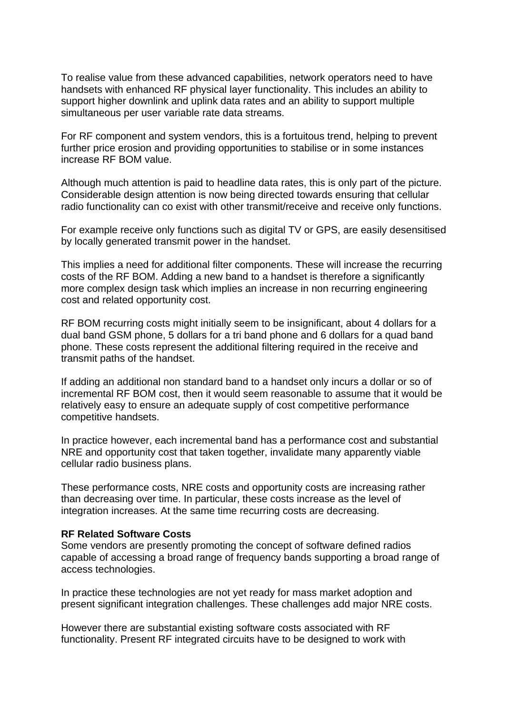To realise value from these advanced capabilities, network operators need to have handsets with enhanced RF physical layer functionality. This includes an ability to support higher downlink and uplink data rates and an ability to support multiple simultaneous per user variable rate data streams.

For RF component and system vendors, this is a fortuitous trend, helping to prevent further price erosion and providing opportunities to stabilise or in some instances increase RF BOM value.

Although much attention is paid to headline data rates, this is only part of the picture. Considerable design attention is now being directed towards ensuring that cellular radio functionality can co exist with other transmit/receive and receive only functions.

For example receive only functions such as digital TV or GPS, are easily desensitised by locally generated transmit power in the handset.

This implies a need for additional filter components. These will increase the recurring costs of the RF BOM. Adding a new band to a handset is therefore a significantly more complex design task which implies an increase in non recurring engineering cost and related opportunity cost.

RF BOM recurring costs might initially seem to be insignificant, about 4 dollars for a dual band GSM phone, 5 dollars for a tri band phone and 6 dollars for a quad band phone. These costs represent the additional filtering required in the receive and transmit paths of the handset.

If adding an additional non standard band to a handset only incurs a dollar or so of incremental RF BOM cost, then it would seem reasonable to assume that it would be relatively easy to ensure an adequate supply of cost competitive performance competitive handsets.

In practice however, each incremental band has a performance cost and substantial NRE and opportunity cost that taken together, invalidate many apparently viable cellular radio business plans.

These performance costs, NRE costs and opportunity costs are increasing rather than decreasing over time. In particular, these costs increase as the level of integration increases. At the same time recurring costs are decreasing.

#### **RF Related Software Costs**

Some vendors are presently promoting the concept of software defined radios capable of accessing a broad range of frequency bands supporting a broad range of access technologies.

In practice these technologies are not yet ready for mass market adoption and present significant integration challenges. These challenges add major NRE costs.

However there are substantial existing software costs associated with RF functionality. Present RF integrated circuits have to be designed to work with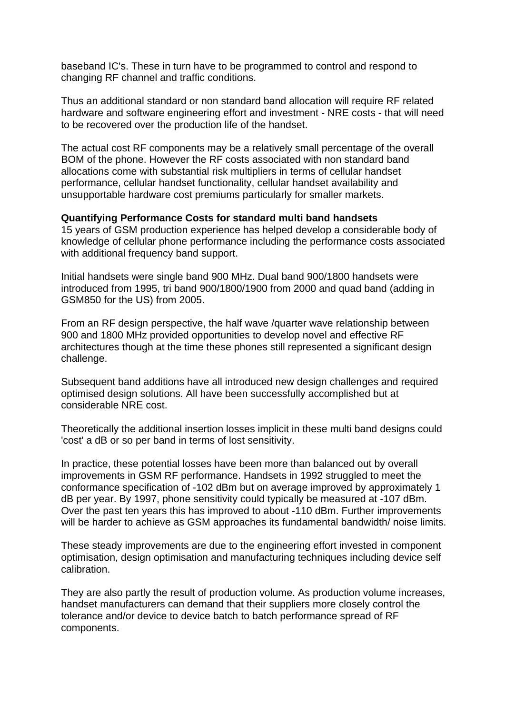baseband IC's. These in turn have to be programmed to control and respond to changing RF channel and traffic conditions.

Thus an additional standard or non standard band allocation will require RF related hardware and software engineering effort and investment - NRE costs - that will need to be recovered over the production life of the handset.

The actual cost RF components may be a relatively small percentage of the overall BOM of the phone. However the RF costs associated with non standard band allocations come with substantial risk multipliers in terms of cellular handset performance, cellular handset functionality, cellular handset availability and unsupportable hardware cost premiums particularly for smaller markets.

### **Quantifying Performance Costs for standard multi band handsets**

15 years of GSM production experience has helped develop a considerable body of knowledge of cellular phone performance including the performance costs associated with additional frequency band support.

Initial handsets were single band 900 MHz. Dual band 900/1800 handsets were introduced from 1995, tri band 900/1800/1900 from 2000 and quad band (adding in GSM850 for the US) from 2005.

From an RF design perspective, the half wave /quarter wave relationship between 900 and 1800 MHz provided opportunities to develop novel and effective RF architectures though at the time these phones still represented a significant design challenge.

Subsequent band additions have all introduced new design challenges and required optimised design solutions. All have been successfully accomplished but at considerable NRE cost.

Theoretically the additional insertion losses implicit in these multi band designs could 'cost' a dB or so per band in terms of lost sensitivity.

In practice, these potential losses have been more than balanced out by overall improvements in GSM RF performance. Handsets in 1992 struggled to meet the conformance specification of -102 dBm but on average improved by approximately 1 dB per year. By 1997, phone sensitivity could typically be measured at -107 dBm. Over the past ten years this has improved to about -110 dBm. Further improvements will be harder to achieve as GSM approaches its fundamental bandwidth/ noise limits.

These steady improvements are due to the engineering effort invested in component optimisation, design optimisation and manufacturing techniques including device self calibration.

They are also partly the result of production volume. As production volume increases, handset manufacturers can demand that their suppliers more closely control the tolerance and/or device to device batch to batch performance spread of RF components.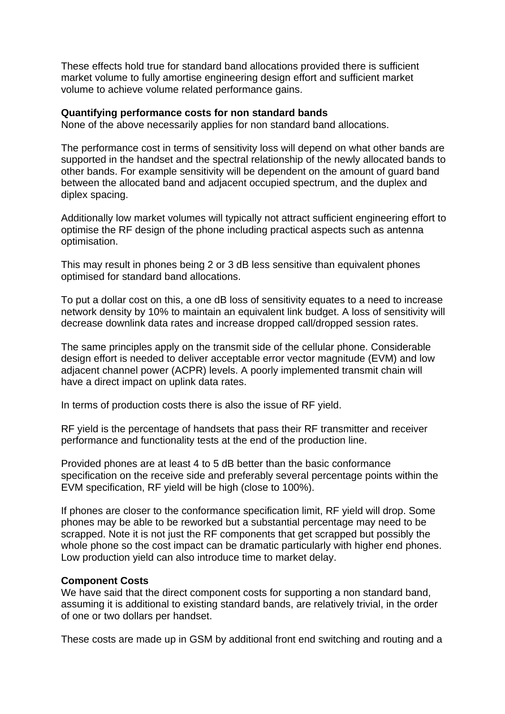These effects hold true for standard band allocations provided there is sufficient market volume to fully amortise engineering design effort and sufficient market volume to achieve volume related performance gains.

#### **Quantifying performance costs for non standard bands**

None of the above necessarily applies for non standard band allocations.

The performance cost in terms of sensitivity loss will depend on what other bands are supported in the handset and the spectral relationship of the newly allocated bands to other bands. For example sensitivity will be dependent on the amount of guard band between the allocated band and adjacent occupied spectrum, and the duplex and diplex spacing.

Additionally low market volumes will typically not attract sufficient engineering effort to optimise the RF design of the phone including practical aspects such as antenna optimisation.

This may result in phones being 2 or 3 dB less sensitive than equivalent phones optimised for standard band allocations.

To put a dollar cost on this, a one dB loss of sensitivity equates to a need to increase network density by 10% to maintain an equivalent link budget. A loss of sensitivity will decrease downlink data rates and increase dropped call/dropped session rates.

The same principles apply on the transmit side of the cellular phone. Considerable design effort is needed to deliver acceptable error vector magnitude (EVM) and low adjacent channel power (ACPR) levels. A poorly implemented transmit chain will have a direct impact on uplink data rates.

In terms of production costs there is also the issue of RF yield.

RF yield is the percentage of handsets that pass their RF transmitter and receiver performance and functionality tests at the end of the production line.

Provided phones are at least 4 to 5 dB better than the basic conformance specification on the receive side and preferably several percentage points within the EVM specification, RF yield will be high (close to 100%).

If phones are closer to the conformance specification limit, RF yield will drop. Some phones may be able to be reworked but a substantial percentage may need to be scrapped. Note it is not just the RF components that get scrapped but possibly the whole phone so the cost impact can be dramatic particularly with higher end phones. Low production yield can also introduce time to market delay.

#### **Component Costs**

We have said that the direct component costs for supporting a non standard band, assuming it is additional to existing standard bands, are relatively trivial, in the order of one or two dollars per handset.

These costs are made up in GSM by additional front end switching and routing and a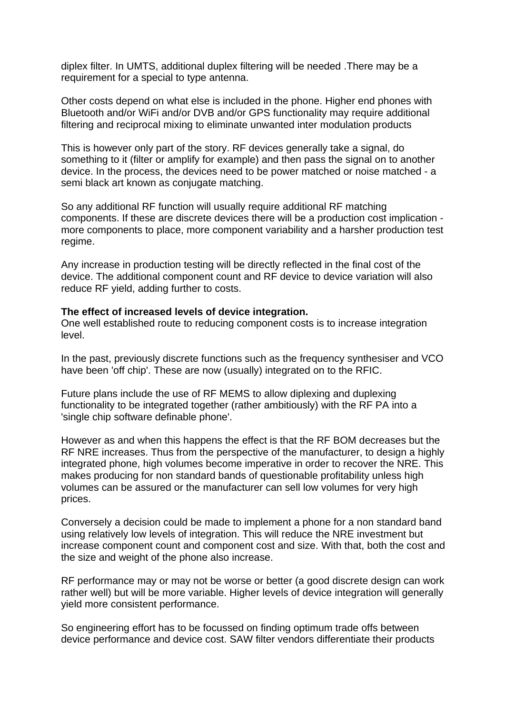diplex filter. In UMTS, additional duplex filtering will be needed .There may be a requirement for a special to type antenna.

Other costs depend on what else is included in the phone. Higher end phones with Bluetooth and/or WiFi and/or DVB and/or GPS functionality may require additional filtering and reciprocal mixing to eliminate unwanted inter modulation products

This is however only part of the story. RF devices generally take a signal, do something to it (filter or amplify for example) and then pass the signal on to another device. In the process, the devices need to be power matched or noise matched - a semi black art known as conjugate matching.

So any additional RF function will usually require additional RF matching components. If these are discrete devices there will be a production cost implication more components to place, more component variability and a harsher production test regime.

Any increase in production testing will be directly reflected in the final cost of the device. The additional component count and RF device to device variation will also reduce RF yield, adding further to costs.

#### **The effect of increased levels of device integration.**

One well established route to reducing component costs is to increase integration level.

In the past, previously discrete functions such as the frequency synthesiser and VCO have been 'off chip'. These are now (usually) integrated on to the RFIC.

Future plans include the use of RF MEMS to allow diplexing and duplexing functionality to be integrated together (rather ambitiously) with the RF PA into a 'single chip software definable phone'.

However as and when this happens the effect is that the RF BOM decreases but the RF NRE increases. Thus from the perspective of the manufacturer, to design a highly integrated phone, high volumes become imperative in order to recover the NRE. This makes producing for non standard bands of questionable profitability unless high volumes can be assured or the manufacturer can sell low volumes for very high prices.

Conversely a decision could be made to implement a phone for a non standard band using relatively low levels of integration. This will reduce the NRE investment but increase component count and component cost and size. With that, both the cost and the size and weight of the phone also increase.

RF performance may or may not be worse or better (a good discrete design can work rather well) but will be more variable. Higher levels of device integration will generally yield more consistent performance.

So engineering effort has to be focussed on finding optimum trade offs between device performance and device cost. SAW filter vendors differentiate their products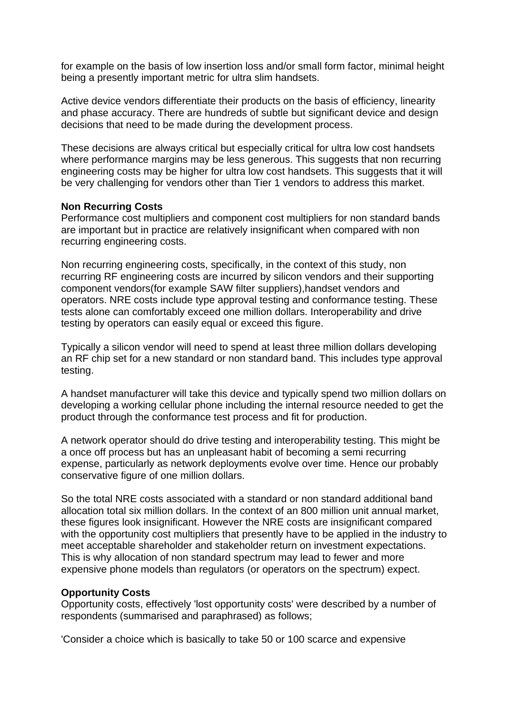for example on the basis of low insertion loss and/or small form factor, minimal height being a presently important metric for ultra slim handsets.

Active device vendors differentiate their products on the basis of efficiency, linearity and phase accuracy. There are hundreds of subtle but significant device and design decisions that need to be made during the development process.

These decisions are always critical but especially critical for ultra low cost handsets where performance margins may be less generous. This suggests that non recurring engineering costs may be higher for ultra low cost handsets. This suggests that it will be very challenging for vendors other than Tier 1 vendors to address this market.

# **Non Recurring Costs**

Performance cost multipliers and component cost multipliers for non standard bands are important but in practice are relatively insignificant when compared with non recurring engineering costs.

Non recurring engineering costs, specifically, in the context of this study, non recurring RF engineering costs are incurred by silicon vendors and their supporting component vendors(for example SAW filter suppliers),handset vendors and operators. NRE costs include type approval testing and conformance testing. These tests alone can comfortably exceed one million dollars. Interoperability and drive testing by operators can easily equal or exceed this figure.

Typically a silicon vendor will need to spend at least three million dollars developing an RF chip set for a new standard or non standard band. This includes type approval testing.

A handset manufacturer will take this device and typically spend two million dollars on developing a working cellular phone including the internal resource needed to get the product through the conformance test process and fit for production.

A network operator should do drive testing and interoperability testing. This might be a once off process but has an unpleasant habit of becoming a semi recurring expense, particularly as network deployments evolve over time. Hence our probably conservative figure of one million dollars.

So the total NRE costs associated with a standard or non standard additional band allocation total six million dollars. In the context of an 800 million unit annual market, these figures look insignificant. However the NRE costs are insignificant compared with the opportunity cost multipliers that presently have to be applied in the industry to meet acceptable shareholder and stakeholder return on investment expectations. This is why allocation of non standard spectrum may lead to fewer and more expensive phone models than regulators (or operators on the spectrum) expect.

# **Opportunity Costs**

Opportunity costs, effectively 'lost opportunity costs' were described by a number of respondents (summarised and paraphrased) as follows;

'Consider a choice which is basically to take 50 or 100 scarce and expensive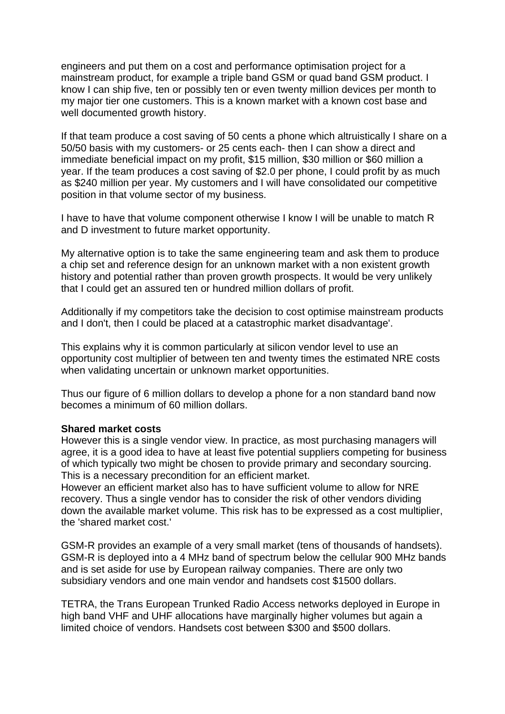engineers and put them on a cost and performance optimisation project for a mainstream product, for example a triple band GSM or quad band GSM product. I know I can ship five, ten or possibly ten or even twenty million devices per month to my major tier one customers. This is a known market with a known cost base and well documented growth history.

If that team produce a cost saving of 50 cents a phone which altruistically I share on a 50/50 basis with my customers- or 25 cents each- then I can show a direct and immediate beneficial impact on my profit, \$15 million, \$30 million or \$60 million a year. If the team produces a cost saving of \$2.0 per phone, I could profit by as much as \$240 million per year. My customers and I will have consolidated our competitive position in that volume sector of my business.

I have to have that volume component otherwise I know I will be unable to match R and D investment to future market opportunity.

My alternative option is to take the same engineering team and ask them to produce a chip set and reference design for an unknown market with a non existent growth history and potential rather than proven growth prospects. It would be very unlikely that I could get an assured ten or hundred million dollars of profit.

Additionally if my competitors take the decision to cost optimise mainstream products and I don't, then I could be placed at a catastrophic market disadvantage'.

This explains why it is common particularly at silicon vendor level to use an opportunity cost multiplier of between ten and twenty times the estimated NRE costs when validating uncertain or unknown market opportunities.

Thus our figure of 6 million dollars to develop a phone for a non standard band now becomes a minimum of 60 million dollars.

#### **Shared market costs**

However this is a single vendor view. In practice, as most purchasing managers will agree, it is a good idea to have at least five potential suppliers competing for business of which typically two might be chosen to provide primary and secondary sourcing. This is a necessary precondition for an efficient market.

However an efficient market also has to have sufficient volume to allow for NRE recovery. Thus a single vendor has to consider the risk of other vendors dividing down the available market volume. This risk has to be expressed as a cost multiplier, the 'shared market cost.'

GSM-R provides an example of a very small market (tens of thousands of handsets). GSM-R is deployed into a 4 MHz band of spectrum below the cellular 900 MHz bands and is set aside for use by European railway companies. There are only two subsidiary vendors and one main vendor and handsets cost \$1500 dollars.

TETRA, the Trans European Trunked Radio Access networks deployed in Europe in high band VHF and UHF allocations have marginally higher volumes but again a limited choice of vendors. Handsets cost between \$300 and \$500 dollars.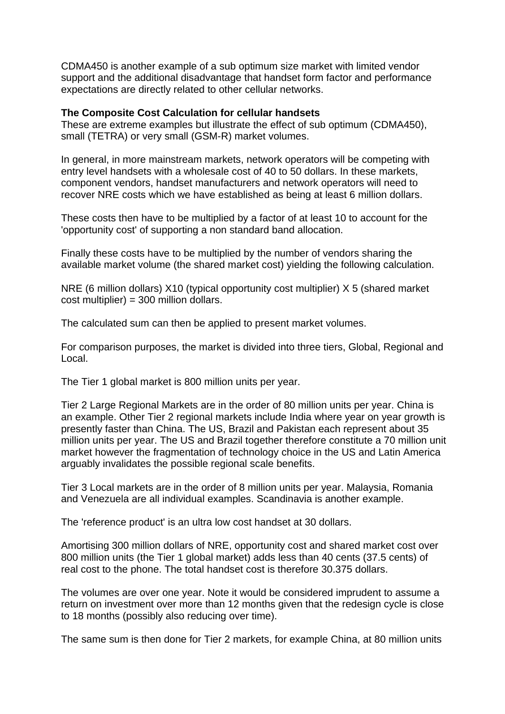CDMA450 is another example of a sub optimum size market with limited vendor support and the additional disadvantage that handset form factor and performance expectations are directly related to other cellular networks.

### **The Composite Cost Calculation for cellular handsets**

These are extreme examples but illustrate the effect of sub optimum (CDMA450), small (TETRA) or very small (GSM-R) market volumes.

In general, in more mainstream markets, network operators will be competing with entry level handsets with a wholesale cost of 40 to 50 dollars. In these markets, component vendors, handset manufacturers and network operators will need to recover NRE costs which we have established as being at least 6 million dollars.

These costs then have to be multiplied by a factor of at least 10 to account for the 'opportunity cost' of supporting a non standard band allocation.

Finally these costs have to be multiplied by the number of vendors sharing the available market volume (the shared market cost) yielding the following calculation.

NRE (6 million dollars) X10 (typical opportunity cost multiplier) X 5 (shared market cost multiplier) = 300 million dollars.

The calculated sum can then be applied to present market volumes.

For comparison purposes, the market is divided into three tiers, Global, Regional and Local.

The Tier 1 global market is 800 million units per year.

Tier 2 Large Regional Markets are in the order of 80 million units per year. China is an example. Other Tier 2 regional markets include India where year on year growth is presently faster than China. The US, Brazil and Pakistan each represent about 35 million units per year. The US and Brazil together therefore constitute a 70 million unit market however the fragmentation of technology choice in the US and Latin America arguably invalidates the possible regional scale benefits.

Tier 3 Local markets are in the order of 8 million units per year. Malaysia, Romania and Venezuela are all individual examples. Scandinavia is another example.

The 'reference product' is an ultra low cost handset at 30 dollars.

Amortising 300 million dollars of NRE, opportunity cost and shared market cost over 800 million units (the Tier 1 global market) adds less than 40 cents (37.5 cents) of real cost to the phone. The total handset cost is therefore 30.375 dollars.

The volumes are over one year. Note it would be considered imprudent to assume a return on investment over more than 12 months given that the redesign cycle is close to 18 months (possibly also reducing over time).

The same sum is then done for Tier 2 markets, for example China, at 80 million units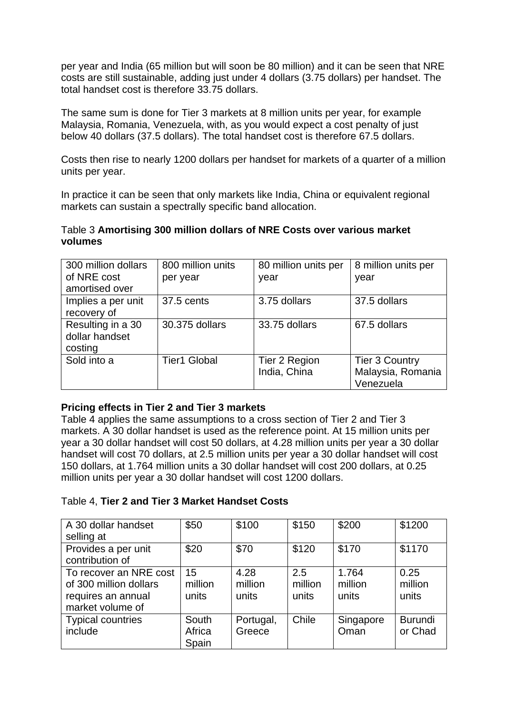per year and India (65 million but will soon be 80 million) and it can be seen that NRE costs are still sustainable, adding just under 4 dollars (3.75 dollars) per handset. The total handset cost is therefore 33.75 dollars.

The same sum is done for Tier 3 markets at 8 million units per year, for example Malaysia, Romania, Venezuela, with, as you would expect a cost penalty of just below 40 dollars (37.5 dollars). The total handset cost is therefore 67.5 dollars.

Costs then rise to nearly 1200 dollars per handset for markets of a quarter of a million units per year.

In practice it can be seen that only markets like India, China or equivalent regional markets can sustain a spectrally specific band allocation.

# Table 3 **Amortising 300 million dollars of NRE Costs over various market volumes**

| 300 million dollars | 800 million units   | 80 million units per | 8 million units per   |
|---------------------|---------------------|----------------------|-----------------------|
| of NRE cost         | per year            | year                 | year                  |
| amortised over      |                     |                      |                       |
| Implies a per unit  | 37.5 cents          | 3.75 dollars         | 37.5 dollars          |
| recovery of         |                     |                      |                       |
| Resulting in a 30   | 30,375 dollars      | 33.75 dollars        | 67.5 dollars          |
| dollar handset      |                     |                      |                       |
| costing             |                     |                      |                       |
| Sold into a         | <b>Tier1 Global</b> | Tier 2 Region        | <b>Tier 3 Country</b> |
|                     |                     | India, China         | Malaysia, Romania     |
|                     |                     |                      | Venezuela             |

# **Pricing effects in Tier 2 and Tier 3 markets**

Table 4 applies the same assumptions to a cross section of Tier 2 and Tier 3 markets. A 30 dollar handset is used as the reference point. At 15 million units per year a 30 dollar handset will cost 50 dollars, at 4.28 million units per year a 30 dollar handset will cost 70 dollars, at 2.5 million units per year a 30 dollar handset will cost 150 dollars, at 1.764 million units a 30 dollar handset will cost 200 dollars, at 0.25 million units per year a 30 dollar handset will cost 1200 dollars.

# Table 4, **Tier 2 and Tier 3 Market Handset Costs**

| A 30 dollar handset<br>selling at                                                          | \$50                     | \$100                    | \$150                   | \$200                     | \$1200                    |
|--------------------------------------------------------------------------------------------|--------------------------|--------------------------|-------------------------|---------------------------|---------------------------|
| Provides a per unit<br>contribution of                                                     | \$20                     | \$70                     | \$120                   | \$170                     | \$1170                    |
| To recover an NRE cost<br>of 300 million dollars<br>requires an annual<br>market volume of | 15<br>million<br>units   | 4.28<br>million<br>units | 2.5<br>million<br>units | 1.764<br>million<br>units | 0.25<br>million<br>units  |
| <b>Typical countries</b><br>include                                                        | South<br>Africa<br>Spain | Portugal,<br>Greece      | Chile                   | Singapore<br>Oman         | <b>Burundi</b><br>or Chad |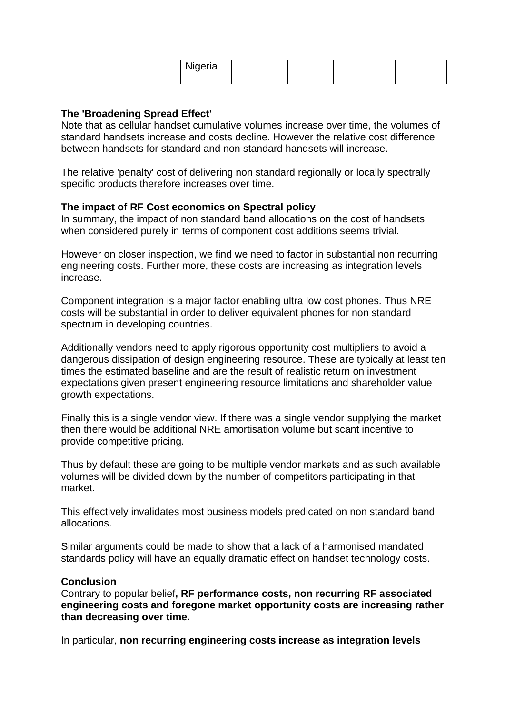| Nigeria |  |  |
|---------|--|--|
|         |  |  |

# **The 'Broadening Spread Effect'**

Note that as cellular handset cumulative volumes increase over time, the volumes of standard handsets increase and costs decline. However the relative cost difference between handsets for standard and non standard handsets will increase.

The relative 'penalty' cost of delivering non standard regionally or locally spectrally specific products therefore increases over time.

# **The impact of RF Cost economics on Spectral policy**

In summary, the impact of non standard band allocations on the cost of handsets when considered purely in terms of component cost additions seems trivial.

However on closer inspection, we find we need to factor in substantial non recurring engineering costs. Further more, these costs are increasing as integration levels increase.

Component integration is a major factor enabling ultra low cost phones. Thus NRE costs will be substantial in order to deliver equivalent phones for non standard spectrum in developing countries.

Additionally vendors need to apply rigorous opportunity cost multipliers to avoid a dangerous dissipation of design engineering resource. These are typically at least ten times the estimated baseline and are the result of realistic return on investment expectations given present engineering resource limitations and shareholder value growth expectations.

Finally this is a single vendor view. If there was a single vendor supplying the market then there would be additional NRE amortisation volume but scant incentive to provide competitive pricing.

Thus by default these are going to be multiple vendor markets and as such available volumes will be divided down by the number of competitors participating in that market.

This effectively invalidates most business models predicated on non standard band allocations.

Similar arguments could be made to show that a lack of a harmonised mandated standards policy will have an equally dramatic effect on handset technology costs.

#### **Conclusion**

Contrary to popular belief**, RF performance costs, non recurring RF associated engineering costs and foregone market opportunity costs are increasing rather than decreasing over time.** 

In particular, **non recurring engineering costs increase as integration levels**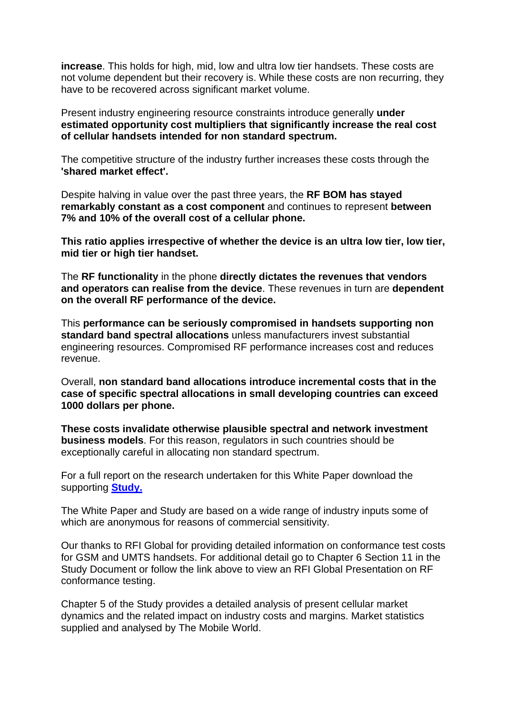**increase**. This holds for high, mid, low and ultra low tier handsets. These costs are not volume dependent but their recovery is. While these costs are non recurring, they have to be recovered across significant market volume.

Present industry engineering resource constraints introduce generally **under estimated opportunity cost multipliers that significantly increase the real cost of cellular handsets intended for non standard spectrum.** 

The competitive structure of the industry further increases these costs through the **'shared market effect'.**

Despite halving in value over the past three years, the **RF BOM has stayed remarkably constant as a cost component** and continues to represent **between 7% and 10% of the overall cost of a cellular phone.** 

**This ratio applies irrespective of whether the device is an ultra low tier, low tier, mid tier or high tier handset.** 

The **RF functionality** in the phone **directly dictates the revenues that vendors and operators can realise from the device**. These revenues in turn are **dependent on the overall RF performance of the device.**

This **performance can be seriously compromised in handsets supporting non standard band spectral allocations** unless manufacturers invest substantial engineering resources. Compromised RF performance increases cost and reduces revenue.

Overall, **non standard band allocations introduce incremental costs that in the case of specific spectral allocations in small developing countries can exceed 1000 dollars per phone.**

**These costs invalidate otherwise plausible spectral and network investment business models**. For this reason, regulators in such countries should be exceptionally careful in allocating non standard spectrum.

For a full report on the research undertaken for this White Paper download the supporting **[Study.](http://www.rttonline.com/home_frame.htm)**

The White Paper and Study are based on a wide range of industry inputs some of which are anonymous for reasons of commercial sensitivity.

Our thanks to RFI Global for providing detailed information on conformance test costs for GSM and UMTS handsets. For additional detail go to Chapter 6 Section 11 in the Study Document or follow the link above to view an RFI Global Presentation on RF conformance testing.

Chapter 5 of the Study provides a detailed analysis of present cellular market dynamics and the related impact on industry costs and margins. Market statistics supplied and analysed by The Mobile World.